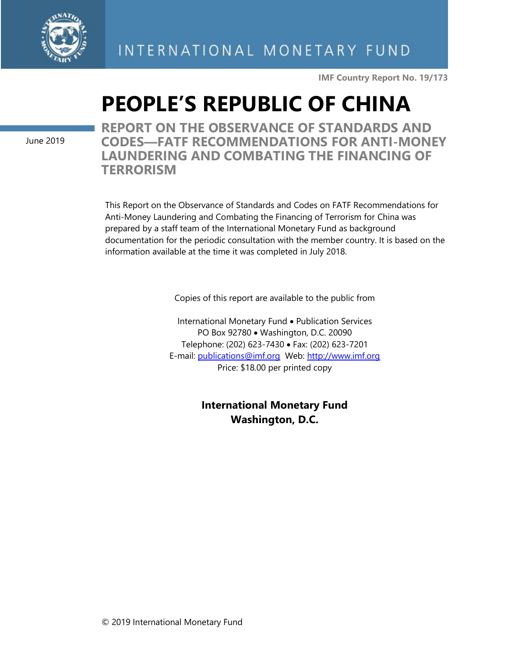

**IMF Country Report No. 19/173**

## **PEOPLE'S REPUBLIC OF CHINA**

June 2019

**REPORT ON THE OBSERVANCE OF STANDARDS AND CODES—FATF RECOMMENDATIONS FOR ANTI-MONEY LAUNDERING AND COMBATING THE FINANCING OF TERRORISM**

This Report on the Observance of Standards and Codes on FATF Recommendations for Anti-Money Laundering and Combating the Financing of Terrorism for China was prepared by a staff team of the International Monetary Fund as background documentation for the periodic consultation with the member country. It is based on the information available at the time it was completed in July 2018.

Copies of this report are available to the public from

International Monetary Fund • Publication Services PO Box 92780 • Washington, D.C. 20090 Telephone: (202) 623-7430 • Fax: (202) 623-7201 E-mail: [publications@imf.org](mailto:publications@imf.org) Web: [http://www.imf.org](http://www.imf.org/) Price: \$18.00 per printed copy

> **International Monetary Fund Washington, D.C.**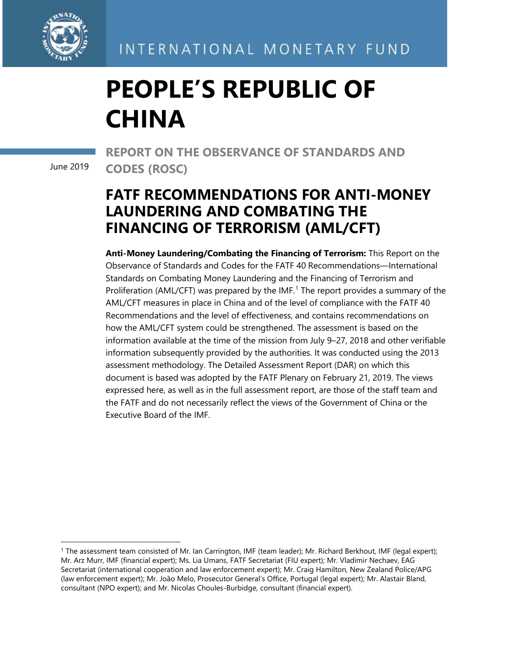

INTERNATIONAL MONETARY FUND

# **PEOPLE'S REPUBLIC OF CHINA**

June 2019

**REPORT ON THE OBSERVANCE OF STANDARDS AND CODES (ROSC)** 

## **FATF RECOMMENDATIONS FOR ANTI-MONEY LAUNDERING AND COMBATING THE FINANCING OF TERRORISM (AML/CFT)**

**Anti-Money Laundering/Combating the Financing of Terrorism:** This Report on the Observance of Standards and Codes for the FATF 40 Recommendations—International Standards on Combating Money Laundering and the Financing of Terrorism and Proliferation (AML/CFT) was prepared by the  $IMF<sup>1</sup>$  $IMF<sup>1</sup>$  $IMF<sup>1</sup>$  The report provides a summary of the AML/CFT measures in place in China and of the level of compliance with the FATF 40 Recommendations and the level of effectiveness, and contains recommendations on how the AML/CFT system could be strengthened. The assessment is based on the information available at the time of the mission from July 9–27, 2018 and other verifiable information subsequently provided by the authorities. It was conducted using the 2013 assessment methodology. The Detailed Assessment Report (DAR) on which this document is based was adopted by the FATF Plenary on February 21, 2019. The views expressed here, as well as in the full assessment report, are those of the staff team and the FATF and do not necessarily reflect the views of the Government of China or the Executive Board of the IMF.

<span id="page-1-0"></span><sup>1</sup> The assessment team consisted of Mr. Ian Carrington, IMF (team leader); Mr. Richard Berkhout, IMF (legal expert); Mr. Arz Murr, IMF (financial expert); Ms. Lia Umans, FATF Secretariat (FIU expert); Mr. Vladimir Nechaev, EAG Secretariat (international cooperation and law enforcement expert); Mr. Craig Hamilton, New Zealand Police/APG (law enforcement expert); Mr. João Melo, Prosecutor General's Office, Portugal (legal expert); Mr. Alastair Bland, consultant (NPO expert); and Mr. Nicolas Choules-Burbidge, consultant (financial expert).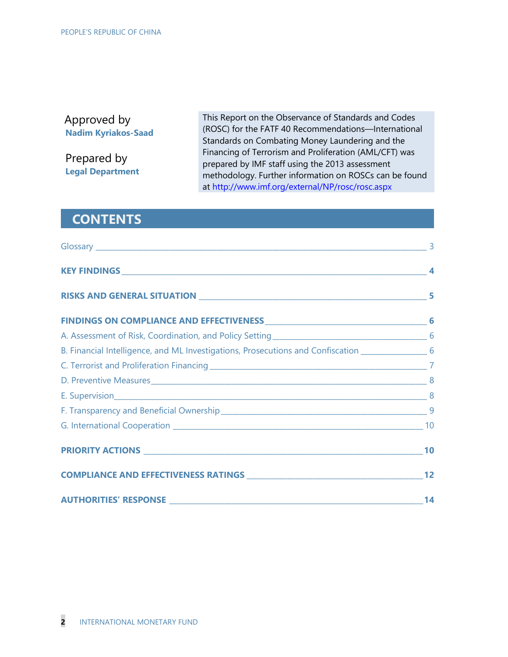#### Approved by **Nadim Kyriakos-Saad**

Prepared by **Legal Department** This Report on the Observance of Standards and Codes (ROSC) for the FATF 40 Recommendations—International Standards on Combating Money Laundering and the Financing of Terrorism and Proliferation (AML/CFT) was prepared by IMF staff using the 2013 assessment methodology. Further information on ROSCs can be found at http://www.imf.org/external/NP/rosc/rosc.aspx

#### **CONTENTS**

| B. Financial Intelligence, and ML Investigations, Prosecutions and Confiscation __________________6 |  |
|-----------------------------------------------------------------------------------------------------|--|
|                                                                                                     |  |
|                                                                                                     |  |
|                                                                                                     |  |
|                                                                                                     |  |
|                                                                                                     |  |
|                                                                                                     |  |
|                                                                                                     |  |
|                                                                                                     |  |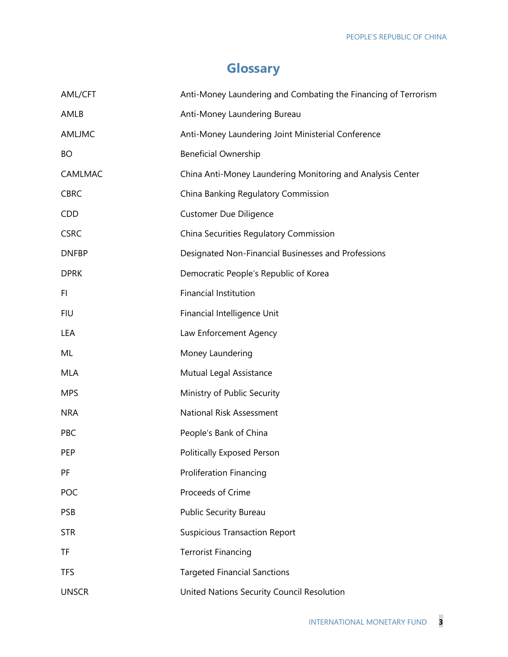## **Glossary**

| AML/CFT       | Anti-Money Laundering and Combating the Financing of Terrorism |
|---------------|----------------------------------------------------------------|
| AMLB          | Anti-Money Laundering Bureau                                   |
| <b>AMLJMC</b> | Anti-Money Laundering Joint Ministerial Conference             |
| <b>BO</b>     | <b>Beneficial Ownership</b>                                    |
| CAMLMAC       | China Anti-Money Laundering Monitoring and Analysis Center     |
| <b>CBRC</b>   | China Banking Regulatory Commission                            |
| <b>CDD</b>    | <b>Customer Due Diligence</b>                                  |
| <b>CSRC</b>   | China Securities Regulatory Commission                         |
| <b>DNFBP</b>  | Designated Non-Financial Businesses and Professions            |
| <b>DPRK</b>   | Democratic People's Republic of Korea                          |
| FI            | <b>Financial Institution</b>                                   |
| <b>FIU</b>    | Financial Intelligence Unit                                    |
| LEA           | Law Enforcement Agency                                         |
| ML            | Money Laundering                                               |
| <b>MLA</b>    | Mutual Legal Assistance                                        |
| <b>MPS</b>    | Ministry of Public Security                                    |
| <b>NRA</b>    | National Risk Assessment                                       |
| PBC           | People's Bank of China                                         |
| PEP           | <b>Politically Exposed Person</b>                              |
| PF            | <b>Proliferation Financing</b>                                 |
| POC           | Proceeds of Crime                                              |
| <b>PSB</b>    | <b>Public Security Bureau</b>                                  |
| <b>STR</b>    | <b>Suspicious Transaction Report</b>                           |
| TF            | <b>Terrorist Financing</b>                                     |
| <b>TFS</b>    | <b>Targeted Financial Sanctions</b>                            |
| <b>UNSCR</b>  | United Nations Security Council Resolution                     |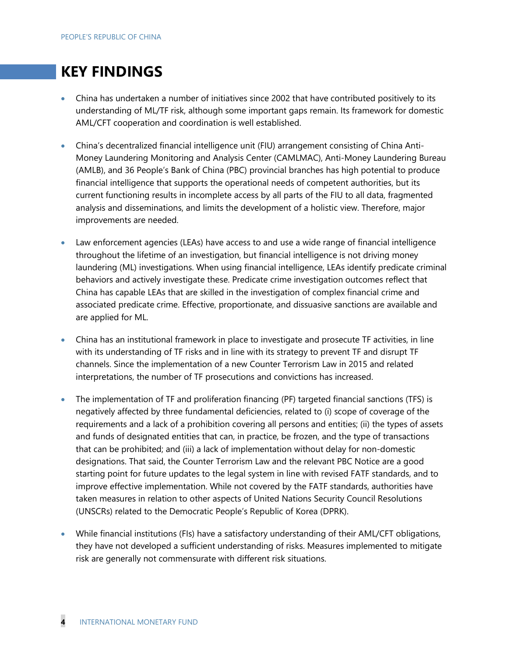### **KEY FINDINGS**

- China has undertaken a number of initiatives since 2002 that have contributed positively to its understanding of ML/TF risk, although some important gaps remain. Its framework for domestic AML/CFT cooperation and coordination is well established.
- China's decentralized financial intelligence unit (FIU) arrangement consisting of China Anti-Money Laundering Monitoring and Analysis Center (CAMLMAC), Anti-Money Laundering Bureau (AMLB), and 36 People's Bank of China (PBC) provincial branches has high potential to produce financial intelligence that supports the operational needs of competent authorities, but its current functioning results in incomplete access by all parts of the FIU to all data, fragmented analysis and disseminations, and limits the development of a holistic view. Therefore, major improvements are needed.
- Law enforcement agencies (LEAs) have access to and use a wide range of financial intelligence throughout the lifetime of an investigation, but financial intelligence is not driving money laundering (ML) investigations. When using financial intelligence, LEAs identify predicate criminal behaviors and actively investigate these. Predicate crime investigation outcomes reflect that China has capable LEAs that are skilled in the investigation of complex financial crime and associated predicate crime. Effective, proportionate, and dissuasive sanctions are available and are applied for ML.
- China has an institutional framework in place to investigate and prosecute TF activities, in line with its understanding of TF risks and in line with its strategy to prevent TF and disrupt TF channels. Since the implementation of a new Counter Terrorism Law in 2015 and related interpretations, the number of TF prosecutions and convictions has increased.
- The implementation of TF and proliferation financing (PF) targeted financial sanctions (TFS) is negatively affected by three fundamental deficiencies, related to (i) scope of coverage of the requirements and a lack of a prohibition covering all persons and entities; (ii) the types of assets and funds of designated entities that can, in practice, be frozen, and the type of transactions that can be prohibited; and (iii) a lack of implementation without delay for non-domestic designations. That said, the Counter Terrorism Law and the relevant PBC Notice are a good starting point for future updates to the legal system in line with revised FATF standards, and to improve effective implementation. While not covered by the FATF standards, authorities have taken measures in relation to other aspects of United Nations Security Council Resolutions (UNSCRs) related to the Democratic People's Republic of Korea (DPRK).
- While financial institutions (FIs) have a satisfactory understanding of their AML/CFT obligations, they have not developed a sufficient understanding of risks. Measures implemented to mitigate risk are generally not commensurate with different risk situations.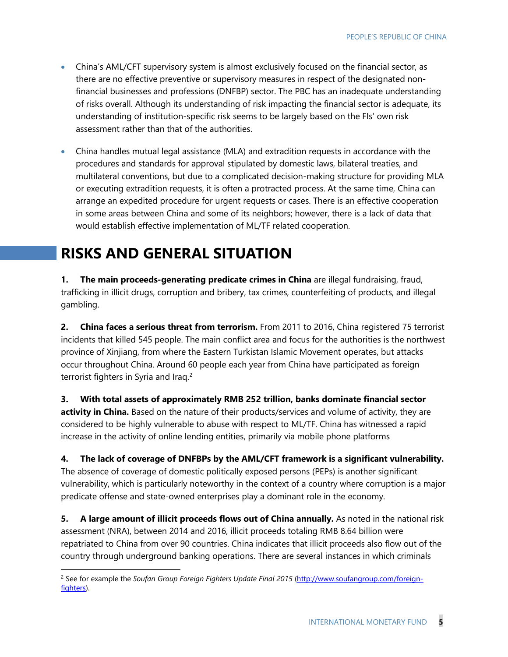- China's AML/CFT supervisory system is almost exclusively focused on the financial sector, as there are no effective preventive or supervisory measures in respect of the designated nonfinancial businesses and professions (DNFBP) sector. The PBC has an inadequate understanding of risks overall. Although its understanding of risk impacting the financial sector is adequate, its understanding of institution-specific risk seems to be largely based on the FIs' own risk assessment rather than that of the authorities.
- China handles mutual legal assistance (MLA) and extradition requests in accordance with the procedures and standards for approval stipulated by domestic laws, bilateral treaties, and multilateral conventions, but due to a complicated decision-making structure for providing MLA or executing extradition requests, it is often a protracted process. At the same time, China can arrange an expedited procedure for urgent requests or cases. There is an effective cooperation in some areas between China and some of its neighbors; however, there is a lack of data that would establish effective implementation of ML/TF related cooperation.

## **RISKS AND GENERAL SITUATION**

**1. The main proceeds-generating predicate crimes in China** are illegal fundraising, fraud, trafficking in illicit drugs, corruption and bribery, tax crimes, counterfeiting of products, and illegal gambling.

**2. China faces a serious threat from terrorism.** From 2011 to 2016, China registered 75 terrorist incidents that killed 545 people. The main conflict area and focus for the authorities is the northwest province of Xinjiang, from where the Eastern Turkistan Islamic Movement operates, but attacks occur throughout China. Around 60 people each year from China have participated as foreign terrorist fighters in Syria and Iraq.<sup>[2](#page-5-0)</sup>

**3. With total assets of approximately RMB 252 trillion, banks dominate financial sector activity in China.** Based on the nature of their products/services and volume of activity, they are considered to be highly vulnerable to abuse with respect to ML/TF. China has witnessed a rapid increase in the activity of online lending entities, primarily via mobile phone platforms

**4. The lack of coverage of DNFBPs by the AML/CFT framework is a significant vulnerability.** The absence of coverage of domestic politically exposed persons (PEPs) is another significant vulnerability, which is particularly noteworthy in the context of a country where corruption is a major predicate offense and state-owned enterprises play a dominant role in the economy.

**5. A large amount of illicit proceeds flows out of China annually.** As noted in the national risk assessment (NRA), between 2014 and 2016, illicit proceeds totaling RMB 8.64 billion were repatriated to China from over 90 countries. China indicates that illicit proceeds also flow out of the country through underground banking operations. There are several instances in which criminals

<span id="page-5-0"></span> <sup>2</sup> See for example the *Soufan Group Foreign Fighters Update Final 2015* [\(http://www.soufangroup.com/foreign](http://www.soufangroup.com/foreign-fighters)[fighters\)](http://www.soufangroup.com/foreign-fighters).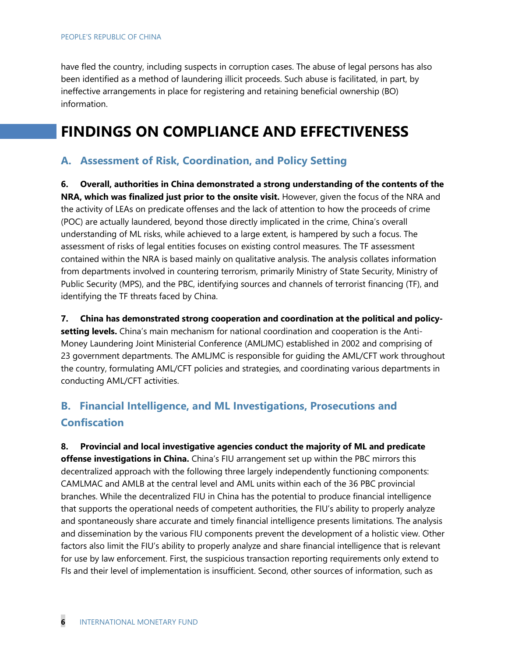have fled the country, including suspects in corruption cases. The abuse of legal persons has also been identified as a method of laundering illicit proceeds. Such abuse is facilitated, in part, by ineffective arrangements in place for registering and retaining beneficial ownership (BO) information.

## **FINDINGS ON COMPLIANCE AND EFFECTIVENESS**

#### **A. Assessment of Risk, Coordination, and Policy Setting**

**6. Overall, authorities in China demonstrated a strong understanding of the contents of the NRA, which was finalized just prior to the onsite visit.** However, given the focus of the NRA and the activity of LEAs on predicate offenses and the lack of attention to how the proceeds of crime (POC) are actually laundered, beyond those directly implicated in the crime, China's overall understanding of ML risks, while achieved to a large extent, is hampered by such a focus. The assessment of risks of legal entities focuses on existing control measures. The TF assessment contained within the NRA is based mainly on qualitative analysis. The analysis collates information from departments involved in countering terrorism, primarily Ministry of State Security, Ministry of Public Security (MPS), and the PBC, identifying sources and channels of terrorist financing (TF), and identifying the TF threats faced by China.

**7. China has demonstrated strong cooperation and coordination at the political and policysetting levels.** China's main mechanism for national coordination and cooperation is the Anti-Money Laundering Joint Ministerial Conference (AMLJMC) established in 2002 and comprising of 23 government departments. The AMLJMC is responsible for guiding the AML/CFT work throughout the country, formulating AML/CFT policies and strategies, and coordinating various departments in conducting AML/CFT activities.

#### **B. Financial Intelligence, and ML Investigations, Prosecutions and Confiscation**

**8. Provincial and local investigative agencies conduct the majority of ML and predicate offense investigations in China.** China's FIU arrangement set up within the PBC mirrors this decentralized approach with the following three largely independently functioning components: CAMLMAC and AMLB at the central level and AML units within each of the 36 PBC provincial branches. While the decentralized FIU in China has the potential to produce financial intelligence that supports the operational needs of competent authorities, the FIU's ability to properly analyze and spontaneously share accurate and timely financial intelligence presents limitations. The analysis and dissemination by the various FIU components prevent the development of a holistic view. Other factors also limit the FIU's ability to properly analyze and share financial intelligence that is relevant for use by law enforcement. First, the suspicious transaction reporting requirements only extend to FIs and their level of implementation is insufficient. Second, other sources of information, such as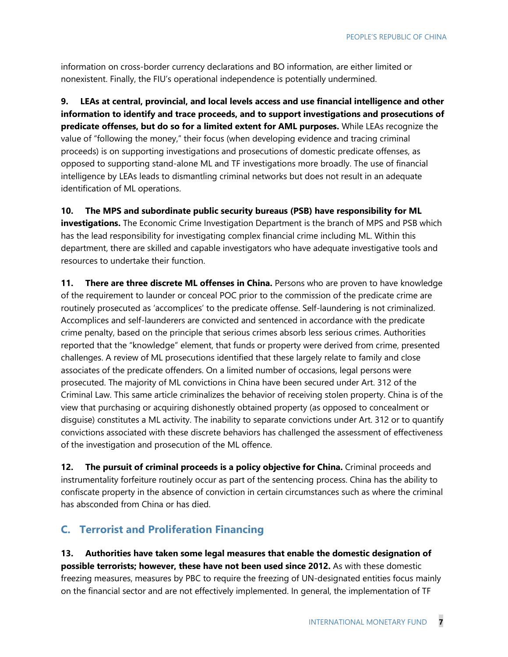information on cross-border currency declarations and BO information, are either limited or nonexistent. Finally, the FIU's operational independence is potentially undermined.

**9. LEAs at central, provincial, and local levels access and use financial intelligence and other information to identify and trace proceeds, and to support investigations and prosecutions of predicate offenses, but do so for a limited extent for AML purposes.** While LEAs recognize the value of "following the money," their focus (when developing evidence and tracing criminal proceeds) is on supporting investigations and prosecutions of domestic predicate offenses, as opposed to supporting stand-alone ML and TF investigations more broadly. The use of financial intelligence by LEAs leads to dismantling criminal networks but does not result in an adequate identification of ML operations.

**10. The MPS and subordinate public security bureaus (PSB) have responsibility for ML investigations.** The Economic Crime Investigation Department is the branch of MPS and PSB which has the lead responsibility for investigating complex financial crime including ML. Within this department, there are skilled and capable investigators who have adequate investigative tools and resources to undertake their function.

**11. There are three discrete ML offenses in China.** Persons who are proven to have knowledge of the requirement to launder or conceal POC prior to the commission of the predicate crime are routinely prosecuted as 'accomplices' to the predicate offense. Self-laundering is not criminalized. Accomplices and self-launderers are convicted and sentenced in accordance with the predicate crime penalty, based on the principle that serious crimes absorb less serious crimes. Authorities reported that the "knowledge" element, that funds or property were derived from crime, presented challenges. A review of ML prosecutions identified that these largely relate to family and close associates of the predicate offenders. On a limited number of occasions, legal persons were prosecuted. The majority of ML convictions in China have been secured under Art. 312 of the Criminal Law. This same article criminalizes the behavior of receiving stolen property. China is of the view that purchasing or acquiring dishonestly obtained property (as opposed to concealment or disguise) constitutes a ML activity. The inability to separate convictions under Art. 312 or to quantify convictions associated with these discrete behaviors has challenged the assessment of effectiveness of the investigation and prosecution of the ML offence.

12. The pursuit of criminal proceeds is a policy objective for China. Criminal proceeds and instrumentality forfeiture routinely occur as part of the sentencing process. China has the ability to confiscate property in the absence of conviction in certain circumstances such as where the criminal has absconded from China or has died.

#### **C. Terrorist and Proliferation Financing**

**13. Authorities have taken some legal measures that enable the domestic designation of possible terrorists; however, these have not been used since 2012.** As with these domestic freezing measures, measures by PBC to require the freezing of UN-designated entities focus mainly on the financial sector and are not effectively implemented. In general, the implementation of TF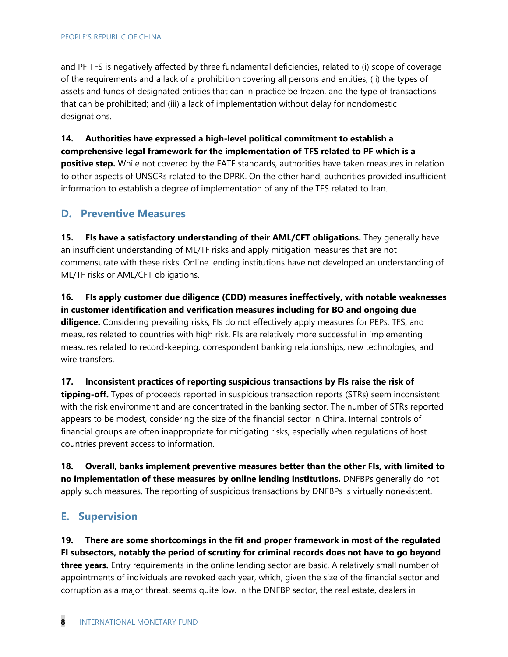and PF TFS is negatively affected by three fundamental deficiencies, related to (i) scope of coverage of the requirements and a lack of a prohibition covering all persons and entities; (ii) the types of assets and funds of designated entities that can in practice be frozen, and the type of transactions that can be prohibited; and (iii) a lack of implementation without delay for nondomestic designations.

**14. Authorities have expressed a high-level political commitment to establish a comprehensive legal framework for the implementation of TFS related to PF which is a positive step.** While not covered by the FATF standards, authorities have taken measures in relation to other aspects of UNSCRs related to the DPRK. On the other hand, authorities provided insufficient information to establish a degree of implementation of any of the TFS related to Iran.

#### **D. Preventive Measures**

**15. FIs have a satisfactory understanding of their AML/CFT obligations.** They generally have an insufficient understanding of ML/TF risks and apply mitigation measures that are not commensurate with these risks. Online lending institutions have not developed an understanding of ML/TF risks or AML/CFT obligations.

**16. FIs apply customer due diligence (CDD) measures ineffectively, with notable weaknesses in customer identification and verification measures including for BO and ongoing due diligence.** Considering prevailing risks, FIs do not effectively apply measures for PEPs, TFS, and measures related to countries with high risk. FIs are relatively more successful in implementing measures related to record-keeping, correspondent banking relationships, new technologies, and wire transfers.

#### **17. Inconsistent practices of reporting suspicious transactions by FIs raise the risk of**

**tipping-off.** Types of proceeds reported in suspicious transaction reports (STRs) seem inconsistent with the risk environment and are concentrated in the banking sector. The number of STRs reported appears to be modest, considering the size of the financial sector in China. Internal controls of financial groups are often inappropriate for mitigating risks, especially when regulations of host countries prevent access to information.

**18. Overall, banks implement preventive measures better than the other FIs, with limited to no implementation of these measures by online lending institutions.** DNFBPs generally do not apply such measures. The reporting of suspicious transactions by DNFBPs is virtually nonexistent.

#### **E. Supervision**

**19. There are some shortcomings in the fit and proper framework in most of the regulated FI subsectors, notably the period of scrutiny for criminal records does not have to go beyond three years.** Entry requirements in the online lending sector are basic. A relatively small number of appointments of individuals are revoked each year, which, given the size of the financial sector and corruption as a major threat, seems quite low. In the DNFBP sector, the real estate, dealers in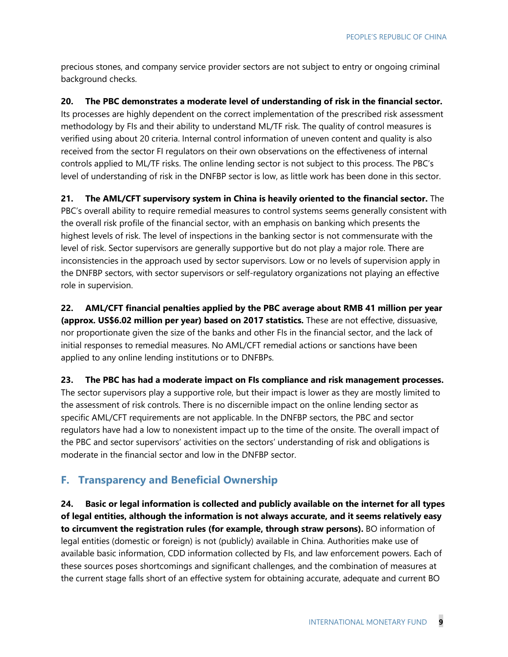precious stones, and company service provider sectors are not subject to entry or ongoing criminal background checks.

**20. The PBC demonstrates a moderate level of understanding of risk in the financial sector.** Its processes are highly dependent on the correct implementation of the prescribed risk assessment methodology by FIs and their ability to understand ML/TF risk. The quality of control measures is verified using about 20 criteria. Internal control information of uneven content and quality is also received from the sector FI regulators on their own observations on the effectiveness of internal controls applied to ML/TF risks. The online lending sector is not subject to this process. The PBC's level of understanding of risk in the DNFBP sector is low, as little work has been done in this sector.

**21. The AML/CFT supervisory system in China is heavily oriented to the financial sector.** The PBC's overall ability to require remedial measures to control systems seems generally consistent with the overall risk profile of the financial sector, with an emphasis on banking which presents the highest levels of risk. The level of inspections in the banking sector is not commensurate with the level of risk. Sector supervisors are generally supportive but do not play a major role. There are inconsistencies in the approach used by sector supervisors. Low or no levels of supervision apply in the DNFBP sectors, with sector supervisors or self-regulatory organizations not playing an effective role in supervision.

**22. AML/CFT financial penalties applied by the PBC average about RMB 41 million per year (approx. US\$6.02 million per year) based on 2017 statistics.** These are not effective, dissuasive, nor proportionate given the size of the banks and other FIs in the financial sector, and the lack of initial responses to remedial measures. No AML/CFT remedial actions or sanctions have been applied to any online lending institutions or to DNFBPs.

**23. The PBC has had a moderate impact on FIs compliance and risk management processes.**

The sector supervisors play a supportive role, but their impact is lower as they are mostly limited to the assessment of risk controls. There is no discernible impact on the online lending sector as specific AML/CFT requirements are not applicable. In the DNFBP sectors, the PBC and sector regulators have had a low to nonexistent impact up to the time of the onsite. The overall impact of the PBC and sector supervisors' activities on the sectors' understanding of risk and obligations is moderate in the financial sector and low in the DNFBP sector.

#### **F. Transparency and Beneficial Ownership**

**24. Basic or legal information is collected and publicly available on the internet for all types of legal entities, although the information is not always accurate, and it seems relatively easy to circumvent the registration rules (for example, through straw persons).** BO information of legal entities (domestic or foreign) is not (publicly) available in China. Authorities make use of available basic information, CDD information collected by FIs, and law enforcement powers. Each of these sources poses shortcomings and significant challenges, and the combination of measures at the current stage falls short of an effective system for obtaining accurate, adequate and current BO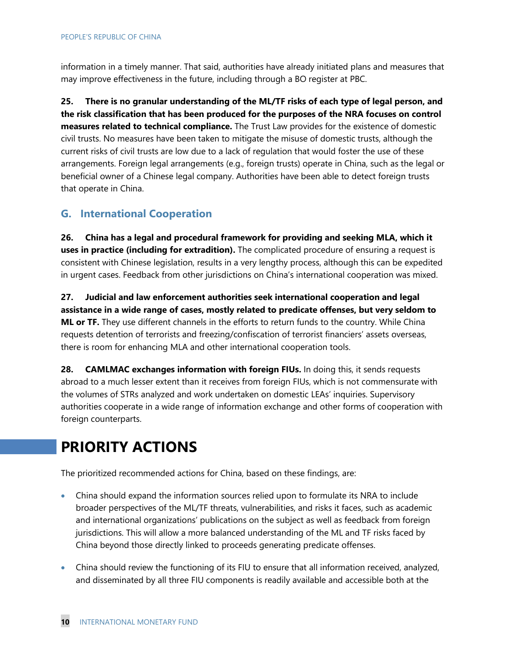information in a timely manner. That said, authorities have already initiated plans and measures that may improve effectiveness in the future, including through a BO register at PBC.

**25. There is no granular understanding of the ML/TF risks of each type of legal person, and the risk classification that has been produced for the purposes of the NRA focuses on control measures related to technical compliance.** The Trust Law provides for the existence of domestic civil trusts. No measures have been taken to mitigate the misuse of domestic trusts, although the current risks of civil trusts are low due to a lack of regulation that would foster the use of these arrangements. Foreign legal arrangements (e.g., foreign trusts) operate in China, such as the legal or beneficial owner of a Chinese legal company. Authorities have been able to detect foreign trusts that operate in China.

#### **G. International Cooperation**

**26. China has a legal and procedural framework for providing and seeking MLA, which it uses in practice (including for extradition).** The complicated procedure of ensuring a request is consistent with Chinese legislation, results in a very lengthy process, although this can be expedited in urgent cases. Feedback from other jurisdictions on China's international cooperation was mixed.

**27. Judicial and law enforcement authorities seek international cooperation and legal assistance in a wide range of cases, mostly related to predicate offenses, but very seldom to ML or TF.** They use different channels in the efforts to return funds to the country. While China requests detention of terrorists and freezing/confiscation of terrorist financiers' assets overseas, there is room for enhancing MLA and other international cooperation tools.

**28. CAMLMAC exchanges information with foreign FIUs.** In doing this, it sends requests abroad to a much lesser extent than it receives from foreign FIUs, which is not commensurate with the volumes of STRs analyzed and work undertaken on domestic LEAs' inquiries. Supervisory authorities cooperate in a wide range of information exchange and other forms of cooperation with foreign counterparts.

## **PRIORITY ACTIONS**

The prioritized recommended actions for China, based on these findings, are:

- China should expand the information sources relied upon to formulate its NRA to include broader perspectives of the ML/TF threats, vulnerabilities, and risks it faces, such as academic and international organizations' publications on the subject as well as feedback from foreign jurisdictions. This will allow a more balanced understanding of the ML and TF risks faced by China beyond those directly linked to proceeds generating predicate offenses.
- China should review the functioning of its FIU to ensure that all information received, analyzed, and disseminated by all three FIU components is readily available and accessible both at the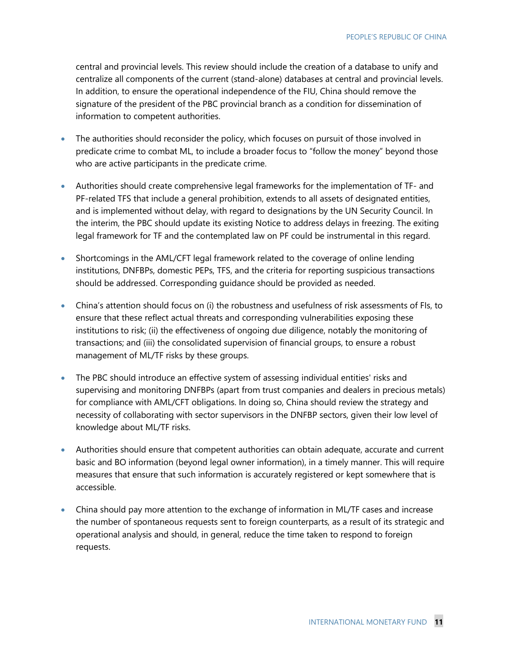central and provincial levels. This review should include the creation of a database to unify and centralize all components of the current (stand-alone) databases at central and provincial levels. In addition, to ensure the operational independence of the FIU, China should remove the signature of the president of the PBC provincial branch as a condition for dissemination of information to competent authorities.

- The authorities should reconsider the policy, which focuses on pursuit of those involved in predicate crime to combat ML, to include a broader focus to "follow the money" beyond those who are active participants in the predicate crime.
- Authorities should create comprehensive legal frameworks for the implementation of TF- and PF-related TFS that include a general prohibition, extends to all assets of designated entities, and is implemented without delay, with regard to designations by the UN Security Council. In the interim, the PBC should update its existing Notice to address delays in freezing. The exiting legal framework for TF and the contemplated law on PF could be instrumental in this regard.
- Shortcomings in the AML/CFT legal framework related to the coverage of online lending institutions, DNFBPs, domestic PEPs, TFS, and the criteria for reporting suspicious transactions should be addressed. Corresponding guidance should be provided as needed.
- China's attention should focus on (i) the robustness and usefulness of risk assessments of FIs, to ensure that these reflect actual threats and corresponding vulnerabilities exposing these institutions to risk; (ii) the effectiveness of ongoing due diligence, notably the monitoring of transactions; and (iii) the consolidated supervision of financial groups, to ensure a robust management of ML/TF risks by these groups.
- The PBC should introduce an effective system of assessing individual entities' risks and supervising and monitoring DNFBPs (apart from trust companies and dealers in precious metals) for compliance with AML/CFT obligations. In doing so, China should review the strategy and necessity of collaborating with sector supervisors in the DNFBP sectors, given their low level of knowledge about ML/TF risks.
- Authorities should ensure that competent authorities can obtain adequate, accurate and current basic and BO information (beyond legal owner information), in a timely manner. This will require measures that ensure that such information is accurately registered or kept somewhere that is accessible.
- China should pay more attention to the exchange of information in ML/TF cases and increase the number of spontaneous requests sent to foreign counterparts, as a result of its strategic and operational analysis and should, in general, reduce the time taken to respond to foreign requests.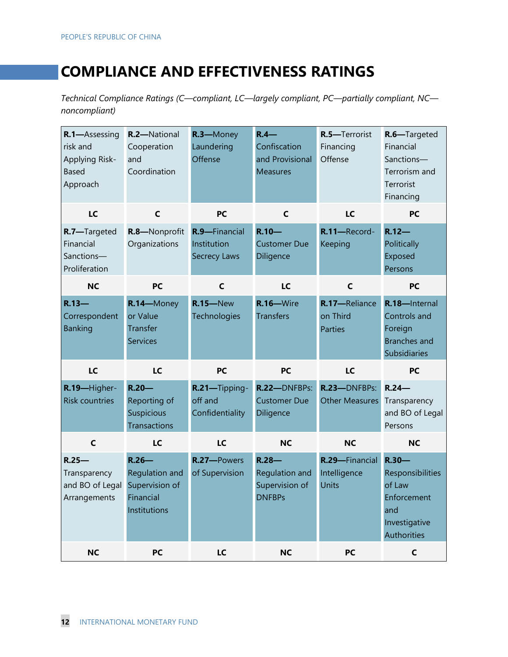## **COMPLIANCE AND EFFECTIVENESS RATINGS**

*Technical Compliance Ratings (C—compliant, LC—largely compliant, PC—partially compliant, NC noncompliant)*

| R.1-Assessing<br>risk and<br>Applying Risk-<br><b>Based</b><br>Approach | R.2-National<br>Cooperation<br>and<br>Coordination                        | R.3-Money<br>Laundering<br>Offense                  | $R.4-$<br>Confiscation<br>and Provisional<br><b>Measures</b> | R.5-Terrorist<br>Financing<br>Offense       | R.6-Targeted<br>Financial<br>Sanctions-<br>Terrorism and<br>Terrorist<br>Financing           |
|-------------------------------------------------------------------------|---------------------------------------------------------------------------|-----------------------------------------------------|--------------------------------------------------------------|---------------------------------------------|----------------------------------------------------------------------------------------------|
| LC                                                                      | $\mathsf{C}$                                                              | <b>PC</b>                                           | $\mathsf{C}$                                                 | LC                                          | <b>PC</b>                                                                                    |
| R.7-Targeted<br>Financial<br>Sanctions-<br>Proliferation                | R.8-Nonprofit<br>Organizations                                            | R.9-Financial<br>Institution<br><b>Secrecy Laws</b> | $R.10 -$<br><b>Customer Due</b><br>Diligence                 | R.11-Record-<br>Keeping                     | $R.12-$<br>Politically<br>Exposed<br>Persons                                                 |
| <b>NC</b>                                                               | <b>PC</b>                                                                 | $\mathsf{C}$                                        | LC                                                           | $\mathsf{C}$                                | <b>PC</b>                                                                                    |
| $R.13-$<br>Correspondent<br><b>Banking</b>                              | R.14-Money<br>or Value<br>Transfer<br><b>Services</b>                     | <b>R.15</b> -New<br>Technologies                    | R.16-Wire<br><b>Transfers</b>                                | R.17-Reliance<br>on Third<br><b>Parties</b> | R.18-Internal<br>Controls and<br>Foreign<br><b>Branches and</b><br>Subsidiaries              |
| LC                                                                      | <b>LC</b>                                                                 | <b>PC</b>                                           | <b>PC</b>                                                    | LC                                          | <b>PC</b>                                                                                    |
| R.19-Higher-<br><b>Risk countries</b>                                   | $R.20 -$<br>Reporting of<br>Suspicious<br><b>Transactions</b>             | R.21-Tipping-<br>off and<br>Confidentiality         | R.22-DNFBPs:<br><b>Customer Due</b><br>Diligence             | R.23-DNFBPs:<br><b>Other Measures</b>       | $R.24-$<br>Transparency<br>and BO of Legal<br>Persons                                        |
| $\mathsf{C}$                                                            | LC                                                                        | LC                                                  | <b>NC</b>                                                    | <b>NC</b>                                   | <b>NC</b>                                                                                    |
| $R.25 -$<br>Transparency<br>and BO of Legal<br>Arrangements             | $R.26 -$<br>Regulation and<br>Supervision of<br>Financial<br>Institutions | R.27-Powers<br>of Supervision                       | $R.28-$<br>Regulation and<br>Supervision of<br><b>DNFBPs</b> | R.29-Financial<br>Intelligence<br>Units     | $R.30 -$<br>Responsibilities<br>of Law<br>Enforcement<br>and<br>Investigative<br>Authorities |
| <b>NC</b>                                                               | PC                                                                        | LC                                                  | <b>NC</b>                                                    | PC                                          | $\mathsf C$                                                                                  |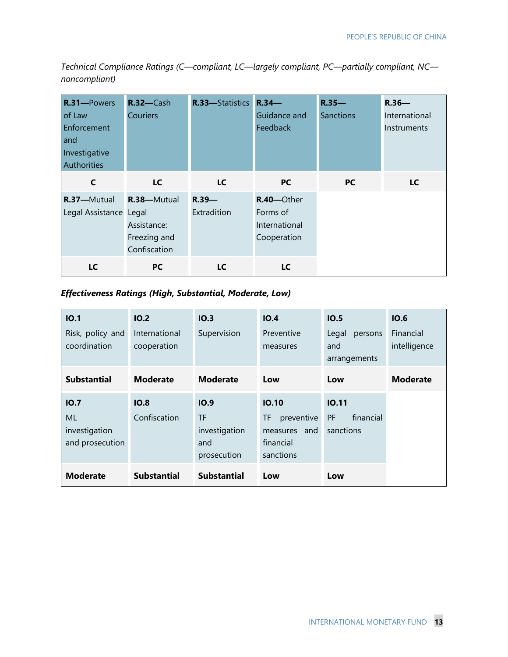*Technical Compliance Ratings (C—compliant, LC—largely compliant, PC—partially compliant, NC noncompliant)*

| R.31-Powers<br>of Law<br>Enforcement<br>and<br>Investigative<br><b>Authorities</b> | $R.32 - Cash$<br><b>Couriers</b>                           | R.33-Statistics R.34-   | Guidance and<br>Feedback                               | $R.35 -$<br><b>Sanctions</b> | $R.36 -$<br>International<br>Instruments |
|------------------------------------------------------------------------------------|------------------------------------------------------------|-------------------------|--------------------------------------------------------|------------------------------|------------------------------------------|
| $\mathsf{C}$                                                                       | LC                                                         | LC                      | <b>PC</b>                                              | <b>PC</b>                    | LC                                       |
| R.37-Mutual<br>Legal Assistance Legal                                              | R.38-Mutual<br>Assistance:<br>Freezing and<br>Confiscation | $R.39 -$<br>Extradition | R.40-Other<br>Forms of<br>International<br>Cooperation |                              |                                          |
| LC                                                                                 | <b>PC</b>                                                  | LC                      | LC                                                     |                              |                                          |

#### *Effectiveness Ratings (High, Substantial, Moderate, Low)*

| IO.1                             | IO.2               | IO.3               | IO.4             | IO.5                    | IO.6            |
|----------------------------------|--------------------|--------------------|------------------|-------------------------|-----------------|
| Risk, policy and<br>coordination | International      | Supervision        | Preventive       | Legal<br>persons<br>and | Financial       |
|                                  | cooperation        |                    | measures         | arrangements            | intelligence    |
| <b>Substantial</b>               | <b>Moderate</b>    | <b>Moderate</b>    | Low              | Low                     | <b>Moderate</b> |
| IO.7                             | IO.8               | IO.9               | IO.10            | 10.11                   |                 |
| ML                               | Confiscation       | TF                 | preventive<br>TF | financial<br>PF         |                 |
| investigation                    |                    | investigation      | measures and     | sanctions               |                 |
| and prosecution                  |                    | and                | financial        |                         |                 |
|                                  |                    | prosecution        | sanctions        |                         |                 |
| <b>Moderate</b>                  | <b>Substantial</b> | <b>Substantial</b> | Low              | Low                     |                 |